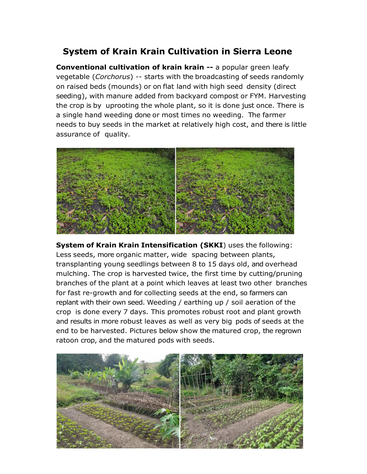## **System of Krain Krain Cultivation in Sierra Leone**

**Conventional cultivation of krain krain --** a popular green leafy vegetable (*Corchorus*) -- starts with the broadcasting of seeds randomly on raised beds (mounds) or on flat land with high seed density (direct seeding), with manure added from backyard compost or FYM. Harvesting the crop is by uprooting the whole plant, so it is done just once. There is a single hand weeding done or most times no weeding. The farmer needs to buy seeds in the market at relatively high cost, and there is little assurance of quality.



**System of Krain Krain Intensification (SKKI**) uses the following: Less seeds, more organic matter, wide spacing between plants, transplanting young seedlings between 8 to 15 days old, and overhead mulching. The crop is harvested twice, the first time by cutting/pruning branches of the plant at a point which leaves at least two other branches for fast re-growth and for collecting seeds at the end, so farmers can replant with their own seed. Weeding / earthing up / soil aeration of the crop is done every 7 days. This promotes robust root and plant growth and results in more robust leaves as well as very big pods of seeds at the end to be harvested. Pictures below show the matured crop, the regrown ratoon crop, and the matured pods with seeds.